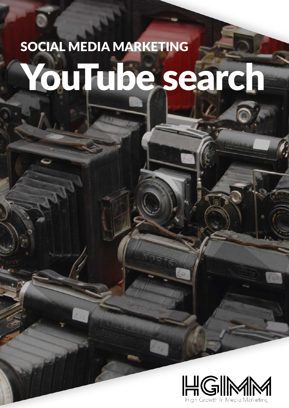# SOCIAL MEDIA MARKETING YouTube search

R. P.

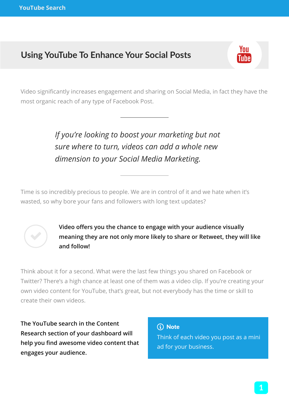## **Using YouTube To Enhance Your Social Posts**

Video significantly increases engagement and sharing on Social Media, in fact they have the most organic reach of any type of Facebook Post.

### *If you're looking to boost your marketing but not sure where to turn, videos can add a whole new dimension to your Social Media Marketing.*

Time is so incredibly precious to people. We are in control of it and we hate when it's wasted, so why bore your fans and followers with long text updates?



**Video offers you the chance to engage with your audience visually meaning they are not only more likely to share or Retweet, they will like and follow!**

Think about it for a second. What were the last few things you shared on Facebook or Twitter? There's a high chance at least one of them was a video clip. If you're creating your own video content for YouTube, that's great, but not everybody has the time or skill to create their own videos.

**The YouTube search in the Content Research section of your dashboard will help you find awesome video content that engages your audience.**

Think of each video you post as a mini ad for your business. (i) Note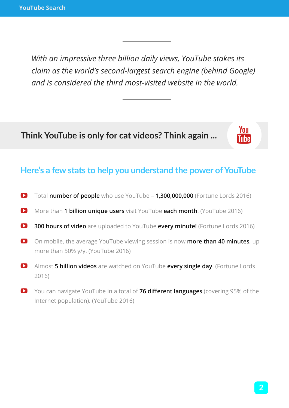*With an impressive three billion daily views, YouTube stakes its claim as the world's second-largest search engine (behind Google) and is considered the third most-visited website in the world.*

## **Think YouTube is only for cat videos? Think again ... Think**

#### **Here's a few stats to help you understand the power of YouTube**

- $\bullet$  Total **number of people** who use YouTube **1,300,000,000** (Fortune Lords 2016)
- **D** More than **1 billion unique users** visit YouTube **each month**. (YouTube 2016)
- $\bullet$  **300 hours of video** are uploaded to YouTube **every minute!** (Fortune Lords 2016)
- $\bullet$  On mobile, the average YouTube viewing session is now **more than 40 minutes**, up more than 50% y/y. (YouTube 2016)
- **E** Almost **5 billion videos** are watched on YouTube **every single day**. (Fortune Lords 2016)
- **E** You can navigate YouTube in a total of **76 different languages** (covering 95% of the Internet population). (YouTube 2016)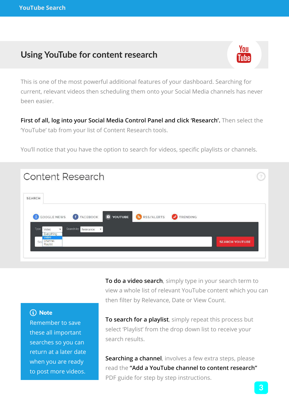## **Using YouTube for content research**



This is one of the most powerful additional features of your dashboard. Searching for current, relevant videos then scheduling them onto your Social Media channels has never been easier.

**First of all, log into your Social Media Control Panel and click 'Research'.** Then select the 'YouTube' tab from your list of Content Research tools.

You'll notice that you have the option to search for videos, specific playlists or channels.

| <b>Content Research</b>                                                                                                                                      | 3                     |
|--------------------------------------------------------------------------------------------------------------------------------------------------------------|-----------------------|
| <b>SEARCH</b>                                                                                                                                                |                       |
| <b>D</b> YOUTUBE<br>RSS/ALERTS<br>8 GOOGLE NEWS<br>FACEBOOK<br>TRENDING<br>Search by Relevance<br>Type<br>$\mathbf{v}$<br>Video<br>$\boldsymbol{\mathrm{v}}$ |                       |
| Everything<br>Video<br>Channel<br>Playlist<br>Sea                                                                                                            | <b>SEARCH YOUTUBE</b> |

**To do a video search**, simply type in your search term to view a whole list of relevant YouTube content which you can then filter by Relevance, Date or View Count.

#### (i) Note

Remember to save these all important searches so you can return at a later date when you are ready to post more videos.

**To search for a playlist**, simply repeat this process but select 'Playlist' from the drop down list to receive your search results.

**Searching a channel**, involves a few extra steps, please read the **"Add a YouTube channel to content research"** PDF guide for step by step instructions.